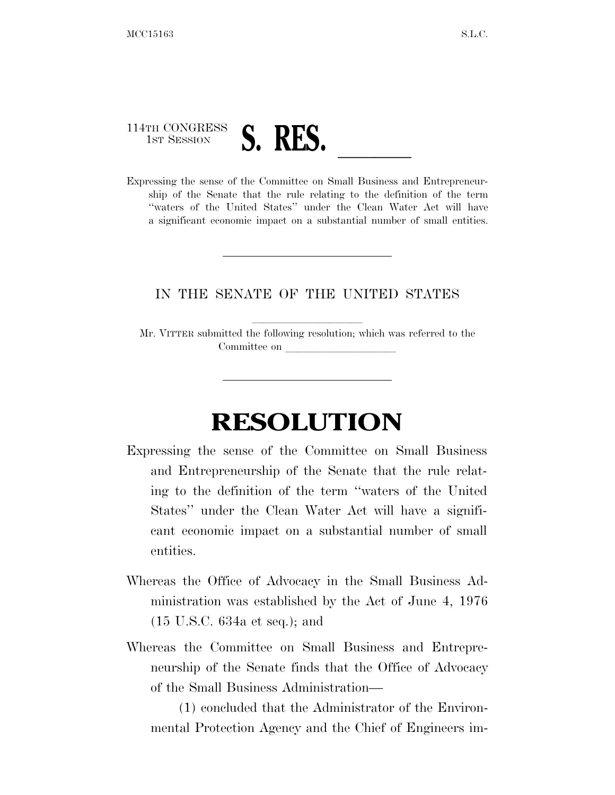## 114TH CONGRESS 1ST SESSION **S. RES.** <u>Leaders of the Committee on Small Business and Entrepreneur-</u>

ship of the Senate that the rule relating to the definition of the term ''waters of the United States'' under the Clean Water Act will have a significant economic impact on a substantial number of small entities.

## IN THE SENATE OF THE UNITED STATES

Mr. VITTER submitted the following resolution; which was referred to the Committee on

## **RESOLUTION**

- Expressing the sense of the Committee on Small Business and Entrepreneurship of the Senate that the rule relating to the definition of the term ''waters of the United States'' under the Clean Water Act will have a significant economic impact on a substantial number of small entities.
- Whereas the Office of Advocacy in the Small Business Administration was established by the Act of June 4, 1976 (15 U.S.C. 634a et seq.); and
- Whereas the Committee on Small Business and Entrepreneurship of the Senate finds that the Office of Advocacy of the Small Business Administration—

(1) concluded that the Administrator of the Environmental Protection Agency and the Chief of Engineers im